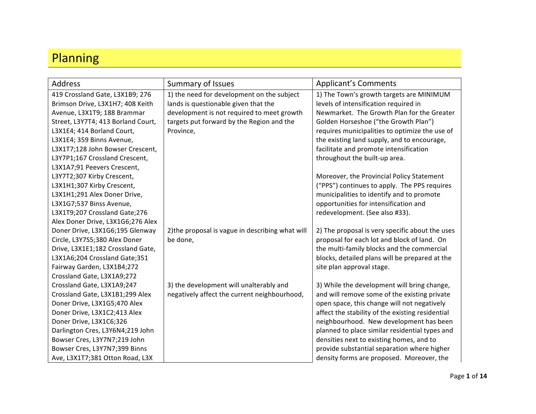## Planning

| Address                            | <b>Summary of Issues</b>                         | <b>Applicant's Comments</b>                      |
|------------------------------------|--------------------------------------------------|--------------------------------------------------|
| 419 Crossland Gate, L3X1B9; 276    | 1) the need for development on the subject       | 1) The Town's growth targets are MINIMUM         |
| Brimson Drive, L3X1H7; 408 Keith   | lands is questionable given that the             | levels of intensification required in            |
| Avenue, L3X1T9; 188 Brammar        | development is not required to meet growth       | Newmarket. The Growth Plan for the Greater       |
| Street, L3Y7T4; 413 Borland Court, | targets put forward by the Region and the        | Golden Horseshoe ("the Growth Plan")             |
| L3X1E4; 414 Borland Court,         | Province,                                        | requires municipalities to optimize the use of   |
| L3X1E4; 359 Binns Avenue,          |                                                  | the existing land supply, and to encourage,      |
| L3X1T7;128 John Bowser Crescent,   |                                                  | facilitate and promote intensification           |
| L3Y7P1;167 Crossland Crescent,     |                                                  | throughout the built-up area.                    |
| L3X1A7;91 Peevers Crescent,        |                                                  |                                                  |
| L3Y7T2;307 Kirby Crescent,         |                                                  | Moreover, the Provincial Policy Statement        |
| L3X1H1;307 Kirby Crescent,         |                                                  | ("PPS") continues to apply. The PPS requires     |
| L3X1H1;291 Alex Doner Drive,       |                                                  | municipalities to identify and to promote        |
| L3X1G7;537 Binss Avenue,           |                                                  | opportunities for intensification and            |
| L3X1T9;207 Crossland Gate;276      |                                                  | redevelopment. (See also #33).                   |
| Alex Doner Drive, L3X1G6;276 Alex  |                                                  |                                                  |
| Doner Drive, L3X1G6;195 Glenway    | 2) the proposal is vague in describing what will | 2) The proposal is very specific about the uses  |
| Circle, L3Y7S5;380 Alex Doner      | be done,                                         | proposal for each lot and block of land. On      |
| Drive, L3X1E1;182 Crossland Gate,  |                                                  | the multi-family blocks and the commercial       |
| L3X1A6;204 Crossland Gate;351      |                                                  | blocks, detailed plans will be prepared at the   |
| Fairway Garden, L3X1B4;272         |                                                  | site plan approval stage.                        |
| Crossland Gate, L3X1A9;272         |                                                  |                                                  |
| Crossland Gate, L3X1A9;247         | 3) the development will unalterably and          | 3) While the development will bring change,      |
| Crossland Gate, L3X1B1;299 Alex    | negatively affect the current neighbourhood,     | and will remove some of the existing private     |
| Doner Drive, L3X1G5;470 Alex       |                                                  | open space, this change will not negatively      |
| Doner Drive, L3X1C2;413 Alex       |                                                  | affect the stability of the existing residential |
| Doner Drive, L3X1C6;326            |                                                  | neighbourhood. New development has been          |
| Darlington Cres, L3Y6N4;219 John   |                                                  | planned to place similar residential types and   |
| Bowser Cres, L3Y7N7;219 John       |                                                  | densities next to existing homes, and to         |
| Bowser Cres, L3Y7N7;399 Binns      |                                                  | provide substantial separation where higher      |
| Ave, L3X1T7;381 Otton Road, L3X    |                                                  | density forms are proposed. Moreover, the        |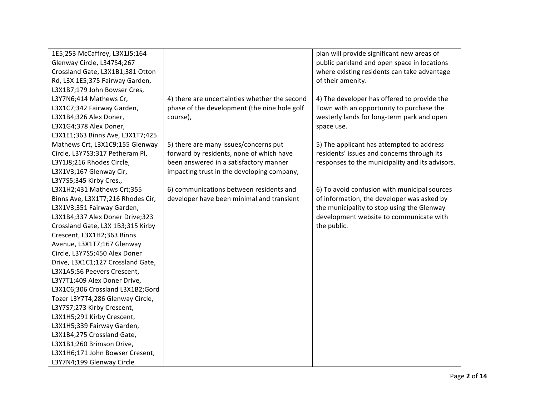| 1E5;253 McCaffrey, L3X1J5;164     |                                               | plan will provide significant new areas of      |
|-----------------------------------|-----------------------------------------------|-------------------------------------------------|
| Glenway Circle, L347S4;267        |                                               | public parkland and open space in locations     |
| Crossland Gate, L3X1B1;381 Otton  |                                               | where existing residents can take advantage     |
| Rd, L3X 1E5;375 Fairway Garden,   |                                               | of their amenity.                               |
| L3X1B7;179 John Bowser Cres,      |                                               |                                                 |
| L3Y7N6;414 Mathews Cr,            | 4) there are uncertainties whether the second | 4) The developer has offered to provide the     |
| L3X1C7;342 Fairway Garden,        | phase of the development (the nine hole golf  | Town with an opportunity to purchase the        |
| L3X1B4;326 Alex Doner,            | course),                                      | westerly lands for long-term park and open      |
| L3X1G4;378 Alex Doner,            |                                               | space use.                                      |
| L3X1E1;363 Binns Ave, L3X1T7;425  |                                               |                                                 |
| Mathews Crt, L3X1C9;155 Glenway   | 5) there are many issues/concerns put         | 5) The applicant has attempted to address       |
| Circle, L3Y7S3;317 Petheram Pl,   | forward by residents, none of which have      | residents' issues and concerns through its      |
| L3Y1J8;216 Rhodes Circle,         | been answered in a satisfactory manner        | responses to the municipality and its advisors. |
| L3X1V3;167 Glenway Cir,           | impacting trust in the developing company,    |                                                 |
| L3Y7S5;345 Kirby Cres.,           |                                               |                                                 |
| L3X1H2;431 Mathews Crt;355        | 6) communications between residents and       | 6) To avoid confusion with municipal sources    |
| Binns Ave, L3X1T7;216 Rhodes Cir, | developer have been minimal and transient     | of information, the developer was asked by      |
| L3X1V3;351 Fairway Garden,        |                                               | the municipality to stop using the Glenway      |
| L3X1B4;337 Alex Doner Drive;323   |                                               | development website to communicate with         |
| Crossland Gate, L3X 1B3;315 Kirby |                                               | the public.                                     |
| Crescent, L3X1H2;363 Binns        |                                               |                                                 |
| Avenue, L3X1T7;167 Glenway        |                                               |                                                 |
| Circle, L3Y7S5;450 Alex Doner     |                                               |                                                 |
| Drive, L3X1C1;127 Crossland Gate, |                                               |                                                 |
| L3X1A5;56 Peevers Crescent,       |                                               |                                                 |
| L3Y7T1;409 Alex Doner Drive,      |                                               |                                                 |
| L3X1C6;306 Crossland L3X1B2;Gord  |                                               |                                                 |
| Tozer L3Y7T4;286 Glenway Circle,  |                                               |                                                 |
| L3Y7S7;273 Kirby Crescent,        |                                               |                                                 |
| L3X1H5;291 Kirby Crescent,        |                                               |                                                 |
| L3X1H5;339 Fairway Garden,        |                                               |                                                 |
| L3X1B4;275 Crossland Gate,        |                                               |                                                 |
| L3X1B1;260 Brimson Drive,         |                                               |                                                 |
| L3X1H6;171 John Bowser Cresent,   |                                               |                                                 |
| L3Y7N4;199 Glenway Circle         |                                               |                                                 |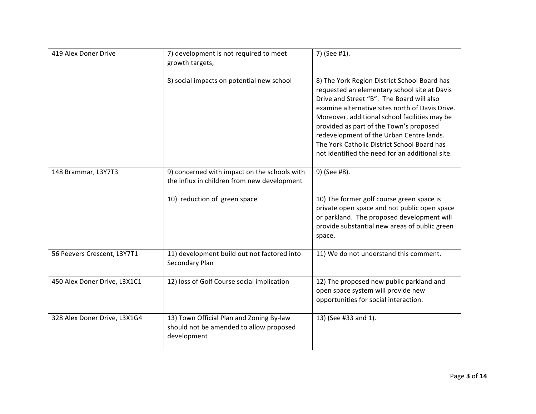| 419 Alex Doner Drive         | 7) development is not required to meet<br>growth targets,                                          | 7) (See #1).                                                                                                                                                                                                                                                                                                                                                                                                                           |
|------------------------------|----------------------------------------------------------------------------------------------------|----------------------------------------------------------------------------------------------------------------------------------------------------------------------------------------------------------------------------------------------------------------------------------------------------------------------------------------------------------------------------------------------------------------------------------------|
|                              | 8) social impacts on potential new school                                                          | 8) The York Region District School Board has<br>requested an elementary school site at Davis<br>Drive and Street "B". The Board will also<br>examine alternative sites north of Davis Drive.<br>Moreover, additional school facilities may be<br>provided as part of the Town's proposed<br>redevelopment of the Urban Centre lands.<br>The York Catholic District School Board has<br>not identified the need for an additional site. |
| 148 Brammar, L3Y7T3          | 9) concerned with impact on the schools with<br>the influx in children from new development        | 9) (See #8).                                                                                                                                                                                                                                                                                                                                                                                                                           |
|                              | 10) reduction of green space                                                                       | 10) The former golf course green space is<br>private open space and not public open space<br>or parkland. The proposed development will<br>provide substantial new areas of public green<br>space.                                                                                                                                                                                                                                     |
| 56 Peevers Crescent, L3Y7T1  | 11) development build out not factored into<br>Secondary Plan                                      | 11) We do not understand this comment.                                                                                                                                                                                                                                                                                                                                                                                                 |
| 450 Alex Doner Drive, L3X1C1 | 12) loss of Golf Course social implication                                                         | 12) The proposed new public parkland and<br>open space system will provide new<br>opportunities for social interaction.                                                                                                                                                                                                                                                                                                                |
| 328 Alex Doner Drive, L3X1G4 | 13) Town Official Plan and Zoning By-law<br>should not be amended to allow proposed<br>development | 13) (See #33 and 1).                                                                                                                                                                                                                                                                                                                                                                                                                   |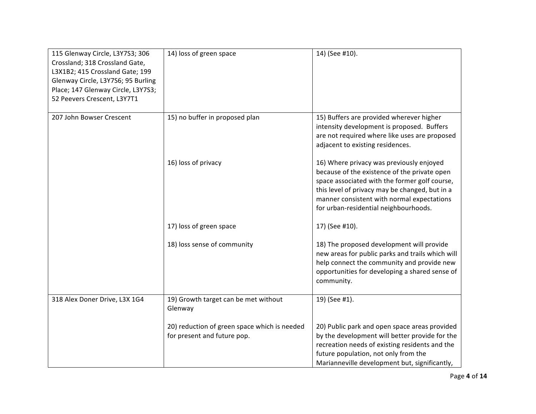| 115 Glenway Circle, L3Y7S3; 306<br>Crossland; 318 Crossland Gate,<br>L3X1B2; 415 Crossland Gate; 199<br>Glenway Circle, L3Y7S6; 95 Burling<br>Place; 147 Glenway Circle, L3Y7S3;<br>52 Peevers Crescent, L3Y7T1 | 14) loss of green space                                                     | 14) (See #10).                                                                                                                                                                                                                                                                     |
|-----------------------------------------------------------------------------------------------------------------------------------------------------------------------------------------------------------------|-----------------------------------------------------------------------------|------------------------------------------------------------------------------------------------------------------------------------------------------------------------------------------------------------------------------------------------------------------------------------|
| 207 John Bowser Crescent                                                                                                                                                                                        | 15) no buffer in proposed plan                                              | 15) Buffers are provided wherever higher<br>intensity development is proposed. Buffers<br>are not required where like uses are proposed<br>adjacent to existing residences.                                                                                                        |
|                                                                                                                                                                                                                 | 16) loss of privacy                                                         | 16) Where privacy was previously enjoyed<br>because of the existence of the private open<br>space associated with the former golf course,<br>this level of privacy may be changed, but in a<br>manner consistent with normal expectations<br>for urban-residential neighbourhoods. |
|                                                                                                                                                                                                                 | 17) loss of green space                                                     | 17) (See #10).                                                                                                                                                                                                                                                                     |
|                                                                                                                                                                                                                 | 18) loss sense of community                                                 | 18) The proposed development will provide<br>new areas for public parks and trails which will<br>help connect the community and provide new<br>opportunities for developing a shared sense of<br>community.                                                                        |
| 318 Alex Doner Drive, L3X 1G4                                                                                                                                                                                   | 19) Growth target can be met without<br>Glenway                             | 19) (See #1).                                                                                                                                                                                                                                                                      |
|                                                                                                                                                                                                                 | 20) reduction of green space which is needed<br>for present and future pop. | 20) Public park and open space areas provided<br>by the development will better provide for the<br>recreation needs of existing residents and the<br>future population, not only from the<br>Marianneville development but, significantly,                                         |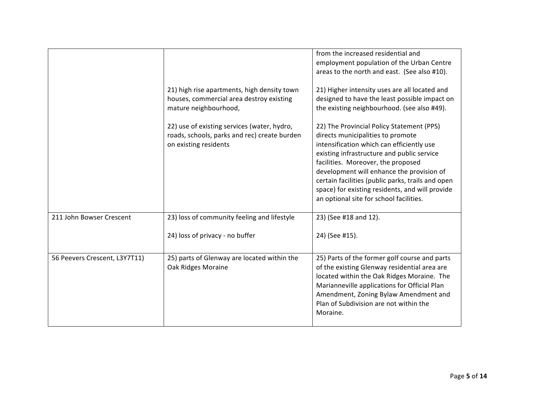|                               | 21) high rise apartments, high density town<br>houses, commercial area destroy existing<br>mature neighbourhood,<br>22) use of existing services (water, hydro, | from the increased residential and<br>employment population of the Urban Centre<br>areas to the north and east. (See also #10).<br>21) Higher intensity uses are all located and<br>designed to have the least possible impact on<br>the existing neighbourhood. (see also #49).<br>22) The Provincial Policy Statement (PPS)                                      |
|-------------------------------|-----------------------------------------------------------------------------------------------------------------------------------------------------------------|--------------------------------------------------------------------------------------------------------------------------------------------------------------------------------------------------------------------------------------------------------------------------------------------------------------------------------------------------------------------|
|                               | roads, schools, parks and rec) create burden<br>on existing residents                                                                                           | directs municipalities to promote<br>intensification which can efficiently use<br>existing infrastructure and public service<br>facilities. Moreover, the proposed<br>development will enhance the provision of<br>certain facilities (public parks, trails and open<br>space) for existing residents, and will provide<br>an optional site for school facilities. |
| 211 John Bowser Crescent      | 23) loss of community feeling and lifestyle                                                                                                                     | 23) (See #18 and 12).                                                                                                                                                                                                                                                                                                                                              |
|                               | 24) loss of privacy - no buffer                                                                                                                                 | 24) (See #15).                                                                                                                                                                                                                                                                                                                                                     |
| 56 Peevers Crescent, L3Y7T11) | 25) parts of Glenway are located within the<br>Oak Ridges Moraine                                                                                               | 25) Parts of the former golf course and parts<br>of the existing Glenway residential area are<br>located within the Oak Ridges Moraine. The<br>Marianneville applications for Official Plan<br>Amendment, Zoning Bylaw Amendment and<br>Plan of Subdivision are not within the<br>Moraine.                                                                         |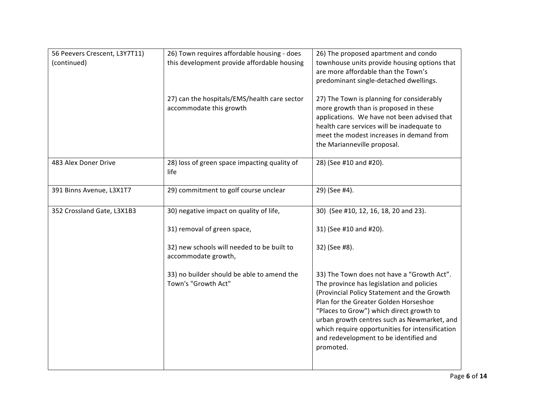| 56 Peevers Crescent, L3Y7T11)<br>(continued) | 26) Town requires affordable housing - does<br>this development provide affordable housing | 26) The proposed apartment and condo<br>townhouse units provide housing options that<br>are more affordable than the Town's<br>predominant single-detached dwellings.                                                                                                                                                                                                                |
|----------------------------------------------|--------------------------------------------------------------------------------------------|--------------------------------------------------------------------------------------------------------------------------------------------------------------------------------------------------------------------------------------------------------------------------------------------------------------------------------------------------------------------------------------|
|                                              | 27) can the hospitals/EMS/health care sector<br>accommodate this growth                    | 27) The Town is planning for considerably<br>more growth than is proposed in these<br>applications. We have not been advised that<br>health care services will be inadequate to<br>meet the modest increases in demand from<br>the Marianneville proposal.                                                                                                                           |
| 483 Alex Doner Drive                         | 28) loss of green space impacting quality of<br>life                                       | 28) (See #10 and #20).                                                                                                                                                                                                                                                                                                                                                               |
| 391 Binns Avenue, L3X1T7                     | 29) commitment to golf course unclear                                                      | 29) (See #4).                                                                                                                                                                                                                                                                                                                                                                        |
| 352 Crossland Gate, L3X1B3                   | 30) negative impact on quality of life,                                                    | 30) (See #10, 12, 16, 18, 20 and 23).                                                                                                                                                                                                                                                                                                                                                |
|                                              | 31) removal of green space,                                                                | 31) (See #10 and #20).                                                                                                                                                                                                                                                                                                                                                               |
|                                              | 32) new schools will needed to be built to<br>accommodate growth,                          | 32) (See #8).                                                                                                                                                                                                                                                                                                                                                                        |
|                                              | 33) no builder should be able to amend the<br>Town's "Growth Act"                          | 33) The Town does not have a "Growth Act".<br>The province has legislation and policies<br>(Provincial Policy Statement and the Growth<br>Plan for the Greater Golden Horseshoe<br>"Places to Grow") which direct growth to<br>urban growth centres such as Newmarket, and<br>which require opportunities for intensification<br>and redevelopment to be identified and<br>promoted. |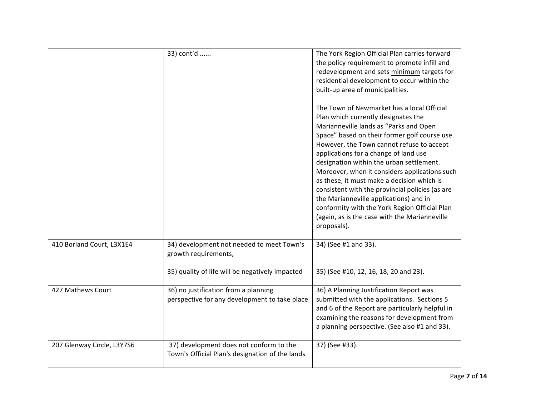|                            | 33) cont'd                                                                                 | The York Region Official Plan carries forward<br>the policy requirement to promote infill and<br>redevelopment and sets minimum targets for<br>residential development to occur within the<br>built-up area of municipalities.<br>The Town of Newmarket has a local Official<br>Plan which currently designates the<br>Marianneville lands as "Parks and Open<br>Space" based on their former golf course use.<br>However, the Town cannot refuse to accept<br>applications for a change of land use<br>designation within the urban settlement.<br>Moreover, when it considers applications such<br>as these, it must make a decision which is<br>consistent with the provincial policies (as are<br>the Marianneville applications) and in<br>conformity with the York Region Official Plan<br>(again, as is the case with the Marianneville<br>proposals). |
|----------------------------|--------------------------------------------------------------------------------------------|---------------------------------------------------------------------------------------------------------------------------------------------------------------------------------------------------------------------------------------------------------------------------------------------------------------------------------------------------------------------------------------------------------------------------------------------------------------------------------------------------------------------------------------------------------------------------------------------------------------------------------------------------------------------------------------------------------------------------------------------------------------------------------------------------------------------------------------------------------------|
| 410 Borland Court, L3X1E4  | 34) development not needed to meet Town's<br>growth requirements,                          | 34) (See #1 and 33).                                                                                                                                                                                                                                                                                                                                                                                                                                                                                                                                                                                                                                                                                                                                                                                                                                          |
|                            | 35) quality of life will be negatively impacted                                            | 35) (See #10, 12, 16, 18, 20 and 23).                                                                                                                                                                                                                                                                                                                                                                                                                                                                                                                                                                                                                                                                                                                                                                                                                         |
| 427 Mathews Court          | 36) no justification from a planning<br>perspective for any development to take place      | 36) A Planning Justification Report was<br>submitted with the applications. Sections 5<br>and 6 of the Report are particularly helpful in<br>examining the reasons for development from<br>a planning perspective. (See also #1 and 33).                                                                                                                                                                                                                                                                                                                                                                                                                                                                                                                                                                                                                      |
| 207 Glenway Circle, L3Y7S6 | 37) development does not conform to the<br>Town's Official Plan's designation of the lands | 37) (See #33).                                                                                                                                                                                                                                                                                                                                                                                                                                                                                                                                                                                                                                                                                                                                                                                                                                                |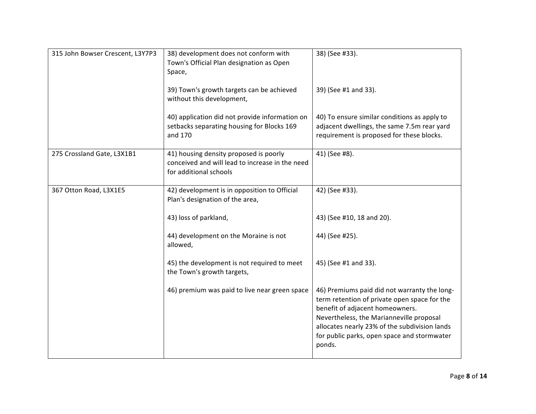| 315 John Bowser Crescent, L3Y7P3 | 38) development does not conform with<br>Town's Official Plan designation as Open<br>Space,                         | 38) (See #33).                                                                                                                                                                                                                                                                        |
|----------------------------------|---------------------------------------------------------------------------------------------------------------------|---------------------------------------------------------------------------------------------------------------------------------------------------------------------------------------------------------------------------------------------------------------------------------------|
|                                  | 39) Town's growth targets can be achieved<br>without this development,                                              | 39) (See #1 and 33).                                                                                                                                                                                                                                                                  |
|                                  | 40) application did not provide information on<br>setbacks separating housing for Blocks 169<br>and 170             | 40) To ensure similar conditions as apply to<br>adjacent dwellings, the same 7.5m rear yard<br>requirement is proposed for these blocks.                                                                                                                                              |
| 275 Crossland Gate, L3X1B1       | 41) housing density proposed is poorly<br>conceived and will lead to increase in the need<br>for additional schools | 41) (See #8).                                                                                                                                                                                                                                                                         |
| 367 Otton Road, L3X1E5           | 42) development is in opposition to Official<br>Plan's designation of the area,                                     | 42) (See #33).                                                                                                                                                                                                                                                                        |
|                                  | 43) loss of parkland,                                                                                               | 43) (See #10, 18 and 20).                                                                                                                                                                                                                                                             |
|                                  | 44) development on the Moraine is not<br>allowed,                                                                   | 44) (See #25).                                                                                                                                                                                                                                                                        |
|                                  | 45) the development is not required to meet<br>the Town's growth targets,                                           | 45) (See #1 and 33).                                                                                                                                                                                                                                                                  |
|                                  | 46) premium was paid to live near green space                                                                       | 46) Premiums paid did not warranty the long-<br>term retention of private open space for the<br>benefit of adjacent homeowners.<br>Nevertheless, the Marianneville proposal<br>allocates nearly 23% of the subdivision lands<br>for public parks, open space and stormwater<br>ponds. |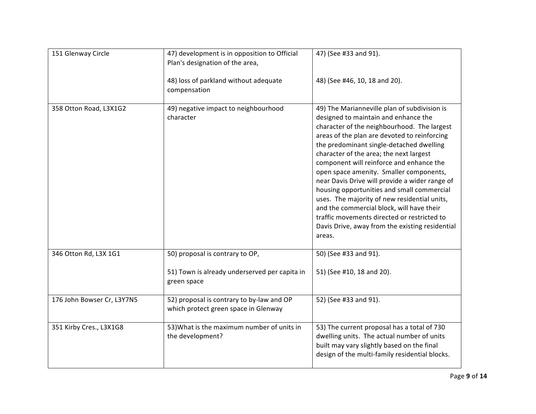| 151 Glenway Circle         | 47) development is in opposition to Official<br>Plan's designation of the area,   | 47) (See #33 and 91).                                                                                                                                                                                                                                                                                                                                                                                                                                                                                                                                                                                                                                                      |
|----------------------------|-----------------------------------------------------------------------------------|----------------------------------------------------------------------------------------------------------------------------------------------------------------------------------------------------------------------------------------------------------------------------------------------------------------------------------------------------------------------------------------------------------------------------------------------------------------------------------------------------------------------------------------------------------------------------------------------------------------------------------------------------------------------------|
|                            | 48) loss of parkland without adequate<br>compensation                             | 48) (See #46, 10, 18 and 20).                                                                                                                                                                                                                                                                                                                                                                                                                                                                                                                                                                                                                                              |
| 358 Otton Road, L3X1G2     | 49) negative impact to neighbourhood<br>character                                 | 49) The Marianneville plan of subdivision is<br>designed to maintain and enhance the<br>character of the neighbourhood. The largest<br>areas of the plan are devoted to reinforcing<br>the predominant single-detached dwelling<br>character of the area; the next largest<br>component will reinforce and enhance the<br>open space amenity. Smaller components,<br>near Davis Drive will provide a wider range of<br>housing opportunities and small commercial<br>uses. The majority of new residential units,<br>and the commercial block, will have their<br>traffic movements directed or restricted to<br>Davis Drive, away from the existing residential<br>areas. |
| 346 Otton Rd, L3X 1G1      | 50) proposal is contrary to OP,                                                   | 50) (See #33 and 91).                                                                                                                                                                                                                                                                                                                                                                                                                                                                                                                                                                                                                                                      |
|                            | 51) Town is already underserved per capita in<br>green space                      | 51) (See #10, 18 and 20).                                                                                                                                                                                                                                                                                                                                                                                                                                                                                                                                                                                                                                                  |
| 176 John Bowser Cr, L3Y7N5 | 52) proposal is contrary to by-law and OP<br>which protect green space in Glenway | 52) (See #33 and 91).                                                                                                                                                                                                                                                                                                                                                                                                                                                                                                                                                                                                                                                      |
| 351 Kirby Cres., L3X1G8    | 53) What is the maximum number of units in<br>the development?                    | 53) The current proposal has a total of 730<br>dwelling units. The actual number of units<br>built may vary slightly based on the final<br>design of the multi-family residential blocks.                                                                                                                                                                                                                                                                                                                                                                                                                                                                                  |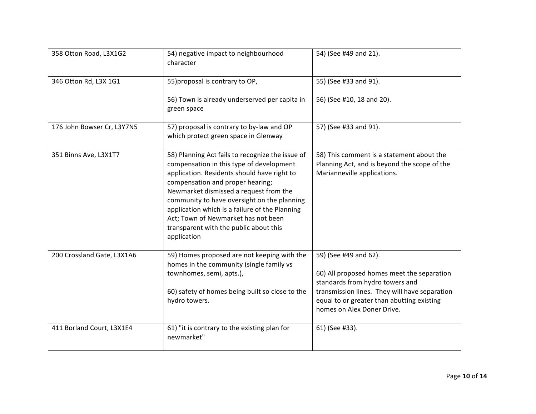| 358 Otton Road, L3X1G2     | 54) negative impact to neighbourhood<br>character                                                                                                                                                                                                                                                                                                                                                                          | 54) (See #49 and 21).                                                                                                                                                                                                               |
|----------------------------|----------------------------------------------------------------------------------------------------------------------------------------------------------------------------------------------------------------------------------------------------------------------------------------------------------------------------------------------------------------------------------------------------------------------------|-------------------------------------------------------------------------------------------------------------------------------------------------------------------------------------------------------------------------------------|
| 346 Otton Rd, L3X 1G1      | 55) proposal is contrary to OP,                                                                                                                                                                                                                                                                                                                                                                                            | 55) (See #33 and 91).                                                                                                                                                                                                               |
|                            | 56) Town is already underserved per capita in<br>green space                                                                                                                                                                                                                                                                                                                                                               | 56) (See #10, 18 and 20).                                                                                                                                                                                                           |
| 176 John Bowser Cr, L3Y7N5 | 57) proposal is contrary to by-law and OP<br>which protect green space in Glenway                                                                                                                                                                                                                                                                                                                                          | 57) (See #33 and 91).                                                                                                                                                                                                               |
| 351 Binns Ave, L3X1T7      | 58) Planning Act fails to recognize the issue of<br>compensation in this type of development<br>application. Residents should have right to<br>compensation and proper hearing;<br>Newmarket dismissed a request from the<br>community to have oversight on the planning<br>application which is a failure of the Planning<br>Act; Town of Newmarket has not been<br>transparent with the public about this<br>application | 58) This comment is a statement about the<br>Planning Act, and is beyond the scope of the<br>Marianneville applications.                                                                                                            |
| 200 Crossland Gate, L3X1A6 | 59) Homes proposed are not keeping with the<br>homes in the community (single family vs<br>townhomes, semi, apts.),<br>60) safety of homes being built so close to the<br>hydro towers.                                                                                                                                                                                                                                    | 59) (See #49 and 62).<br>60) All proposed homes meet the separation<br>standards from hydro towers and<br>transmission lines. They will have separation<br>equal to or greater than abutting existing<br>homes on Alex Doner Drive. |
| 411 Borland Court, L3X1E4  | 61) "it is contrary to the existing plan for<br>newmarket"                                                                                                                                                                                                                                                                                                                                                                 | 61) (See #33).                                                                                                                                                                                                                      |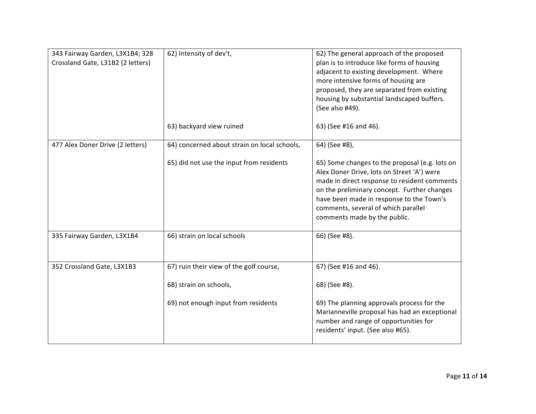| 343 Fairway Garden, L3X1B4; 328<br>Crossland Gate, L31B2 (2 letters) | 62) Intensity of dev't,                      | 62) The general approach of the proposed<br>plan is to introduce like forms of housing<br>adjacent to existing development. Where<br>more intensive forms of housing are<br>proposed, they are separated from existing<br>housing by substantial landscaped buffers.<br>(See also #49).                        |
|----------------------------------------------------------------------|----------------------------------------------|----------------------------------------------------------------------------------------------------------------------------------------------------------------------------------------------------------------------------------------------------------------------------------------------------------------|
|                                                                      | 63) backyard view ruined                     | 63) (See #16 and 46).                                                                                                                                                                                                                                                                                          |
| 477 Alex Doner Drive (2 letters)                                     | 64) concerned about strain on local schools, | 64) (See #8),                                                                                                                                                                                                                                                                                                  |
|                                                                      | 65) did not use the input from residents     | 65) Some changes to the proposal (e.g. lots on<br>Alex Doner Drive, lots on Street 'A') were<br>made in direct response to resident comments<br>on the preliminary concept. Further changes<br>have been made in response to the Town's<br>comments, several of which parallel<br>comments made by the public. |
| 335 Fairway Garden, L3X1B4                                           | 66) strain on local schools                  | 66) (See #8).                                                                                                                                                                                                                                                                                                  |
| 352 Crossland Gate, L3X1B3                                           | 67) ruin their view of the golf course,      | 67) (See #16 and 46).                                                                                                                                                                                                                                                                                          |
|                                                                      | 68) strain on schools,                       | 68) (See #8).                                                                                                                                                                                                                                                                                                  |
|                                                                      | 69) not enough input from residents          | 69) The planning approvals process for the<br>Marianneville proposal has had an exceptional<br>number and range of opportunities for<br>residents' input. (See also #65).                                                                                                                                      |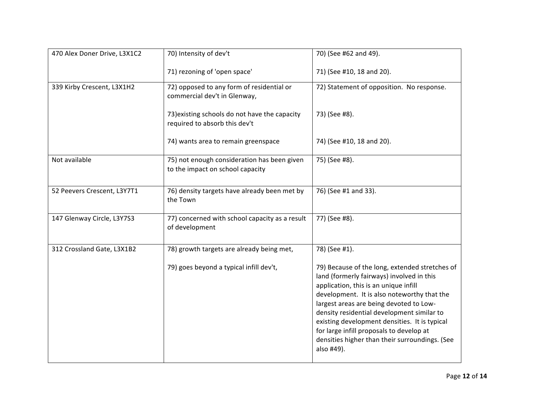| 470 Alex Doner Drive, L3X1C2 | 70) Intensity of dev't                                                          | 70) (See #62 and 49).                                                                                                                                                                                                                                                                                                                                                                                                                     |
|------------------------------|---------------------------------------------------------------------------------|-------------------------------------------------------------------------------------------------------------------------------------------------------------------------------------------------------------------------------------------------------------------------------------------------------------------------------------------------------------------------------------------------------------------------------------------|
|                              | 71) rezoning of 'open space'                                                    | 71) (See #10, 18 and 20).                                                                                                                                                                                                                                                                                                                                                                                                                 |
| 339 Kirby Crescent, L3X1H2   | 72) opposed to any form of residential or<br>commercial dev't in Glenway,       | 72) Statement of opposition. No response.                                                                                                                                                                                                                                                                                                                                                                                                 |
|                              | 73) existing schools do not have the capacity<br>required to absorb this dev't  | 73) (See #8).                                                                                                                                                                                                                                                                                                                                                                                                                             |
|                              | 74) wants area to remain greenspace                                             | 74) (See #10, 18 and 20).                                                                                                                                                                                                                                                                                                                                                                                                                 |
| Not available                | 75) not enough consideration has been given<br>to the impact on school capacity | 75) (See #8).                                                                                                                                                                                                                                                                                                                                                                                                                             |
| 52 Peevers Crescent, L3Y7T1  | 76) density targets have already been met by<br>the Town                        | 76) (See #1 and 33).                                                                                                                                                                                                                                                                                                                                                                                                                      |
| 147 Glenway Circle, L3Y7S3   | 77) concerned with school capacity as a result<br>of development                | 77) (See #8).                                                                                                                                                                                                                                                                                                                                                                                                                             |
| 312 Crossland Gate, L3X1B2   | 78) growth targets are already being met,                                       | 78) (See #1).                                                                                                                                                                                                                                                                                                                                                                                                                             |
|                              | 79) goes beyond a typical infill dev't,                                         | 79) Because of the long, extended stretches of<br>land (formerly fairways) involved in this<br>application, this is an unique infill<br>development. It is also noteworthy that the<br>largest areas are being devoted to Low-<br>density residential development similar to<br>existing development densities. It is typical<br>for large infill proposals to develop at<br>densities higher than their surroundings. (See<br>also #49). |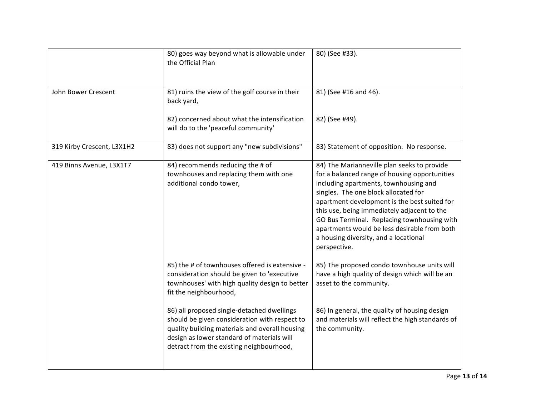|                            | 80) goes way beyond what is allowable under<br>the Official Plan                                                                                                                                                                        | 80) (See #33).                                                                                                                                                                                                                                                                                                                                                                                                                       |
|----------------------------|-----------------------------------------------------------------------------------------------------------------------------------------------------------------------------------------------------------------------------------------|--------------------------------------------------------------------------------------------------------------------------------------------------------------------------------------------------------------------------------------------------------------------------------------------------------------------------------------------------------------------------------------------------------------------------------------|
| John Bower Crescent        | 81) ruins the view of the golf course in their<br>back yard,                                                                                                                                                                            | 81) (See #16 and 46).                                                                                                                                                                                                                                                                                                                                                                                                                |
|                            | 82) concerned about what the intensification<br>will do to the 'peaceful community'                                                                                                                                                     | 82) (See #49).                                                                                                                                                                                                                                                                                                                                                                                                                       |
| 319 Kirby Crescent, L3X1H2 | 83) does not support any "new subdivisions"                                                                                                                                                                                             | 83) Statement of opposition. No response.                                                                                                                                                                                                                                                                                                                                                                                            |
| 419 Binns Avenue, L3X1T7   | 84) recommends reducing the # of<br>townhouses and replacing them with one<br>additional condo tower,                                                                                                                                   | 84) The Marianneville plan seeks to provide<br>for a balanced range of housing opportunities<br>including apartments, townhousing and<br>singles. The one block allocated for<br>apartment development is the best suited for<br>this use, being immediately adjacent to the<br>GO Bus Terminal. Replacing townhousing with<br>apartments would be less desirable from both<br>a housing diversity, and a locational<br>perspective. |
|                            | 85) the # of townhouses offered is extensive -<br>consideration should be given to 'executive<br>townhouses' with high quality design to better<br>fit the neighbourhood,                                                               | 85) The proposed condo townhouse units will<br>have a high quality of design which will be an<br>asset to the community.                                                                                                                                                                                                                                                                                                             |
|                            | 86) all proposed single-detached dwellings<br>should be given consideration with respect to<br>quality building materials and overall housing<br>design as lower standard of materials will<br>detract from the existing neighbourhood, | 86) In general, the quality of housing design<br>and materials will reflect the high standards of<br>the community.                                                                                                                                                                                                                                                                                                                  |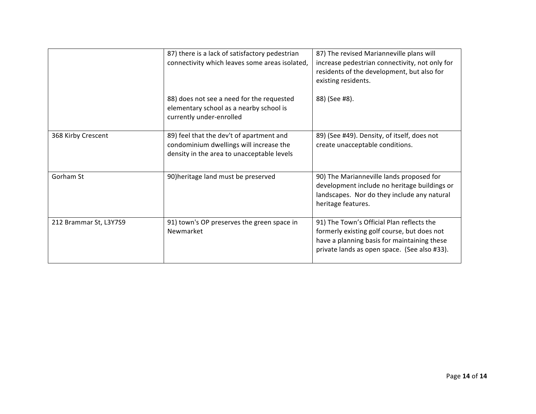|                        | 87) there is a lack of satisfactory pedestrian<br>connectivity which leaves some areas isolated,                                  | 87) The revised Marianneville plans will<br>increase pedestrian connectivity, not only for<br>residents of the development, but also for<br>existing residents.                         |
|------------------------|-----------------------------------------------------------------------------------------------------------------------------------|-----------------------------------------------------------------------------------------------------------------------------------------------------------------------------------------|
|                        | 88) does not see a need for the requested<br>elementary school as a nearby school is<br>currently under-enrolled                  | 88) (See #8).                                                                                                                                                                           |
| 368 Kirby Crescent     | 89) feel that the dev't of apartment and<br>condominium dwellings will increase the<br>density in the area to unacceptable levels | 89) (See #49). Density, of itself, does not<br>create unacceptable conditions.                                                                                                          |
| Gorham St              | 90) heritage land must be preserved                                                                                               | 90) The Marianneville lands proposed for<br>development include no heritage buildings or<br>landscapes. Nor do they include any natural<br>heritage features.                           |
| 212 Brammar St, L3Y7S9 | 91) town's OP preserves the green space in<br>Newmarket                                                                           | 91) The Town's Official Plan reflects the<br>formerly existing golf course, but does not<br>have a planning basis for maintaining these<br>private lands as open space. (See also #33). |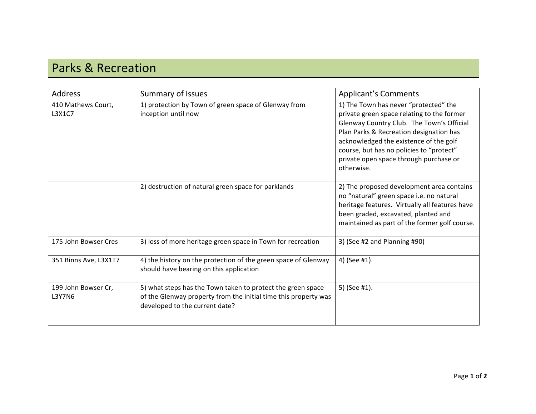## Parks & Recreation

| <b>Address</b>                | Summary of Issues                                                                                                                                                | <b>Applicant's Comments</b>                                                                                                                                                                                                                                                                                               |
|-------------------------------|------------------------------------------------------------------------------------------------------------------------------------------------------------------|---------------------------------------------------------------------------------------------------------------------------------------------------------------------------------------------------------------------------------------------------------------------------------------------------------------------------|
| 410 Mathews Court,<br>L3X1C7  | 1) protection by Town of green space of Glenway from<br>inception until now                                                                                      | 1) The Town has never "protected" the<br>private green space relating to the former<br>Glenway Country Club. The Town's Official<br>Plan Parks & Recreation designation has<br>acknowledged the existence of the golf<br>course, but has no policies to "protect"<br>private open space through purchase or<br>otherwise. |
|                               | 2) destruction of natural green space for parklands                                                                                                              | 2) The proposed development area contains<br>no "natural" green space i.e. no natural<br>heritage features. Virtually all features have<br>been graded, excavated, planted and<br>maintained as part of the former golf course.                                                                                           |
| 175 John Bowser Cres          | 3) loss of more heritage green space in Town for recreation                                                                                                      | 3) (See #2 and Planning #90)                                                                                                                                                                                                                                                                                              |
| 351 Binns Ave, L3X1T7         | 4) the history on the protection of the green space of Glenway<br>should have bearing on this application                                                        | 4) (See #1).                                                                                                                                                                                                                                                                                                              |
| 199 John Bowser Cr,<br>L3Y7N6 | 5) what steps has the Town taken to protect the green space<br>of the Glenway property from the initial time this property was<br>developed to the current date? | 5) (See #1).                                                                                                                                                                                                                                                                                                              |